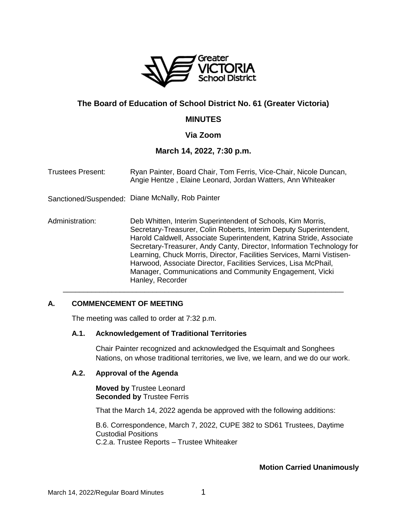

# **The Board of Education of School District No. 61 (Greater Victoria)**

# **MINUTES**

# **Via Zoom**

# **March 14, 2022, 7:30 p.m.**

| <b>Trustees Present:</b> | Ryan Painter, Board Chair, Tom Ferris, Vice-Chair, Nicole Duncan,<br>Angie Hentze, Elaine Leonard, Jordan Watters, Ann Whiteaker                                                                                                                                                                                                                                                                                                                                                                               |
|--------------------------|----------------------------------------------------------------------------------------------------------------------------------------------------------------------------------------------------------------------------------------------------------------------------------------------------------------------------------------------------------------------------------------------------------------------------------------------------------------------------------------------------------------|
| Sanctioned/Suspended:    | Diane McNally, Rob Painter                                                                                                                                                                                                                                                                                                                                                                                                                                                                                     |
| Administration:          | Deb Whitten, Interim Superintendent of Schools, Kim Morris,<br>Secretary-Treasurer, Colin Roberts, Interim Deputy Superintendent,<br>Harold Caldwell, Associate Superintendent, Katrina Stride, Associate<br>Secretary-Treasurer, Andy Canty, Director, Information Technology for<br>Learning, Chuck Morris, Director, Facilities Services, Marni Vistisen-<br>Harwood, Associate Director, Facilities Services, Lisa McPhail,<br>Manager, Communications and Community Engagement, Vicki<br>Hanley, Recorder |

\_\_\_\_\_\_\_\_\_\_\_\_\_\_\_\_\_\_\_\_\_\_\_\_\_\_\_\_\_\_\_\_\_\_\_\_\_\_\_\_\_\_\_\_\_\_\_\_\_\_\_\_\_\_\_\_\_\_\_\_\_\_\_\_\_\_\_\_\_

### **A. COMMENCEMENT OF MEETING**

The meeting was called to order at 7:32 p.m.

### **A.1. Acknowledgement of Traditional Territories**

Chair Painter recognized and acknowledged the Esquimalt and Songhees Nations, on whose traditional territories, we live, we learn, and we do our work.

### **A.2. Approval of the Agenda**

**Moved by** Trustee Leonard **Seconded by** Trustee Ferris

That the March 14, 2022 agenda be approved with the following additions:

B.6. Correspondence, March 7, 2022, CUPE 382 to SD61 Trustees, Daytime Custodial Positions C.2.a. Trustee Reports – Trustee Whiteaker

#### **Motion Carried Unanimously**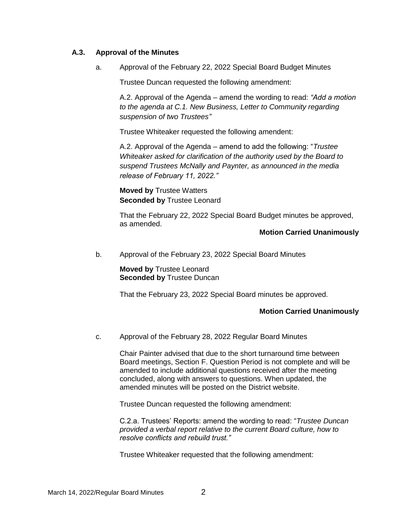### **A.3. Approval of the Minutes**

a. Approval of the February 22, 2022 Special Board Budget Minutes

Trustee Duncan requested the following amendment:

A.2. Approval of the Agenda – amend the wording to read: *"Add a motion to the agenda at C.1. New Business, Letter to Community regarding suspension of two Trustees"*

Trustee Whiteaker requested the following amendent:

A.2. Approval of the Agenda – amend to add the following: "*Trustee Whiteaker asked for clarification of the authority used by the Board to suspend Trustees McNally and Paynter, as announced in the media release of February 11, 2022."*

**Moved by** Trustee Watters **Seconded by** Trustee Leonard

That the February 22, 2022 Special Board Budget minutes be approved, as amended.

#### **Motion Carried Unanimously**

b. Approval of the February 23, 2022 Special Board Minutes

**Moved by** Trustee Leonard **Seconded by** Trustee Duncan

That the February 23, 2022 Special Board minutes be approved.

### **Motion Carried Unanimously**

c. Approval of the February 28, 2022 Regular Board Minutes

Chair Painter advised that due to the short turnaround time between Board meetings, Section F. Question Period is not complete and will be amended to include additional questions received after the meeting concluded, along with answers to questions. When updated, the amended minutes will be posted on the District website.

Trustee Duncan requested the following amendment:

C.2.a. Trustees' Reports: amend the wording to read: "*Trustee Duncan provided a verbal report relative to the current Board culture, how to resolve conflicts and rebuild trust."*

Trustee Whiteaker requested that the following amendment: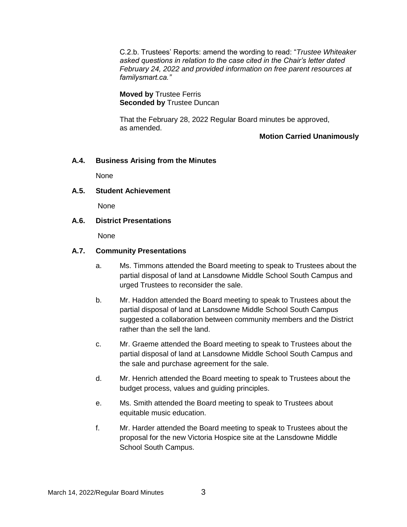C.2.b. Trustees' Reports: amend the wording to read: "*Trustee Whiteaker asked questions in relation to the case cited in the Chair's letter dated February 24, 2022 and provided information on free parent resources at familysmart.ca."*

**Moved by** Trustee Ferris **Seconded by** Trustee Duncan

That the February 28, 2022 Regular Board minutes be approved, as amended.

**Motion Carried Unanimously**

# **A.4. Business Arising from the Minutes**

None

# **A.5. Student Achievement**

None

# **A.6. District Presentations**

None

# **A.7. Community Presentations**

- a. Ms. Timmons attended the Board meeting to speak to Trustees about the partial disposal of land at Lansdowne Middle School South Campus and urged Trustees to reconsider the sale.
- b. Mr. Haddon attended the Board meeting to speak to Trustees about the partial disposal of land at Lansdowne Middle School South Campus suggested a collaboration between community members and the District rather than the sell the land.
- c. Mr. Graeme attended the Board meeting to speak to Trustees about the partial disposal of land at Lansdowne Middle School South Campus and the sale and purchase agreement for the sale.
- d. Mr. Henrich attended the Board meeting to speak to Trustees about the budget process, values and guiding principles.
- e. Ms. Smith attended the Board meeting to speak to Trustees about equitable music education.
- f. Mr. Harder attended the Board meeting to speak to Trustees about the proposal for the new Victoria Hospice site at the Lansdowne Middle School South Campus.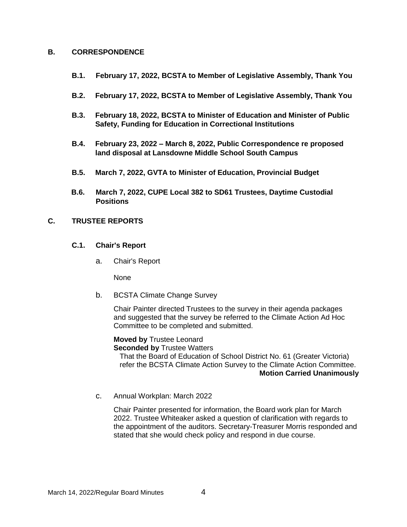#### **B. CORRESPONDENCE**

- **B.1. February 17, 2022, BCSTA to Member of Legislative Assembly, Thank You**
- **B.2. February 17, 2022, BCSTA to Member of Legislative Assembly, Thank You**
- **B.3. February 18, 2022, BCSTA to Minister of Education and Minister of Public Safety, Funding for Education in Correctional Institutions**
- **B.4. February 23, 2022 – March 8, 2022, Public Correspondence re proposed land disposal at Lansdowne Middle School South Campus**
- **B.5. March 7, 2022, GVTA to Minister of Education, Provincial Budget**
- **B.6. March 7, 2022, CUPE Local 382 to SD61 Trustees, Daytime Custodial Positions**

# **C. TRUSTEE REPORTS**

#### **C.1. Chair's Report**

a. Chair's Report

None

b. BCSTA Climate Change Survey

Chair Painter directed Trustees to the survey in their agenda packages and suggested that the survey be referred to the Climate Action Ad Hoc Committee to be completed and submitted.

**Moved by** Trustee Leonard

**Seconded by** Trustee Watters

That the Board of Education of School District No. 61 (Greater Victoria) refer the BCSTA Climate Action Survey to the Climate Action Committee. **Motion Carried Unanimously**

c. Annual Workplan: March 2022

Chair Painter presented for information, the Board work plan for March 2022. Trustee Whiteaker asked a question of clarification with regards to the appointment of the auditors. Secretary-Treasurer Morris responded and stated that she would check policy and respond in due course.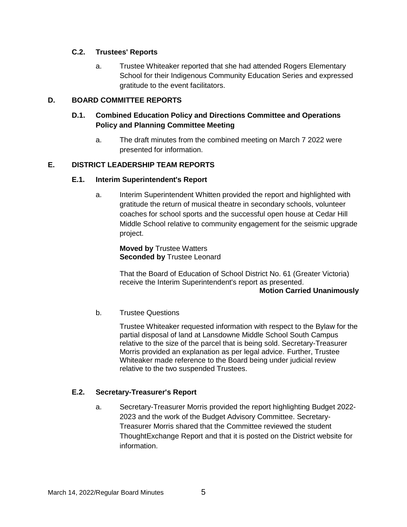# **C.2. Trustees' Reports**

a. Trustee Whiteaker reported that she had attended Rogers Elementary School for their Indigenous Community Education Series and expressed gratitude to the event facilitators.

# **D. BOARD COMMITTEE REPORTS**

# **D.1. Combined Education Policy and Directions Committee and Operations Policy and Planning Committee Meeting**

a. The draft minutes from the combined meeting on March 7 2022 were presented for information.

# **E. DISTRICT LEADERSHIP TEAM REPORTS**

### **E.1. Interim Superintendent's Report**

a. Interim Superintendent Whitten provided the report and highlighted with gratitude the return of musical theatre in secondary schools, volunteer coaches for school sports and the successful open house at Cedar Hill Middle School relative to community engagement for the seismic upgrade project.

**Moved by** Trustee Watters **Seconded by** Trustee Leonard

That the Board of Education of School District No. 61 (Greater Victoria) receive the Interim Superintendent's report as presented. **Motion Carried Unanimously**

### b. Trustee Questions

Trustee Whiteaker requested information with respect to the Bylaw for the partial disposal of land at Lansdowne Middle School South Campus relative to the size of the parcel that is being sold. Secretary-Treasurer Morris provided an explanation as per legal advice. Further, Trustee Whiteaker made reference to the Board being under judicial review relative to the two suspended Trustees.

### **E.2. Secretary-Treasurer's Report**

a. Secretary-Treasurer Morris provided the report highlighting Budget 2022- 2023 and the work of the Budget Advisory Committee. Secretary-Treasurer Morris shared that the Committee reviewed the student ThoughtExchange Report and that it is posted on the District website for information.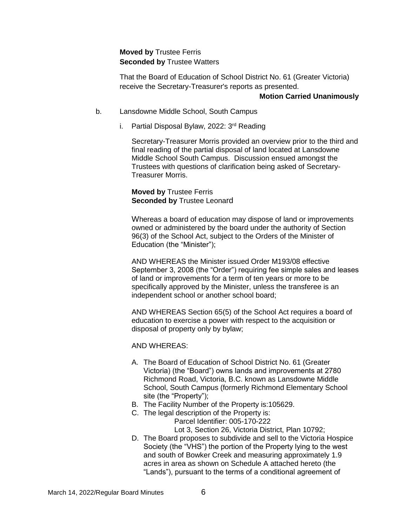# **Moved by** Trustee Ferris **Seconded by** Trustee Watters

That the Board of Education of School District No. 61 (Greater Victoria) receive the Secretary-Treasurer's reports as presented.

#### **Motion Carried Unanimously**

- b. Lansdowne Middle School, South Campus
	- i. Partial Disposal Bylaw, 2022:  $3<sup>rd</sup>$  Reading

Secretary-Treasurer Morris provided an overview prior to the third and final reading of the partial disposal of land located at Lansdowne Middle School South Campus. Discussion ensued amongst the Trustees with questions of clarification being asked of Secretary-Treasurer Morris.

# **Moved by** Trustee Ferris **Seconded by** Trustee Leonard

Whereas a board of education may dispose of land or improvements owned or administered by the board under the authority of Section 96(3) of the School Act, subject to the Orders of the Minister of Education (the "Minister");

AND WHEREAS the Minister issued Order M193/08 effective September 3, 2008 (the "Order") requiring fee simple sales and leases of land or improvements for a term of ten years or more to be specifically approved by the Minister, unless the transferee is an independent school or another school board;

AND WHEREAS Section 65(5) of the School Act requires a board of education to exercise a power with respect to the acquisition or disposal of property only by bylaw;

AND WHEREAS:

- A. The Board of Education of School District No. 61 (Greater Victoria) (the "Board") owns lands and improvements at 2780 Richmond Road, Victoria, B.C. known as Lansdowne Middle School, South Campus (formerly Richmond Elementary School site (the "Property");
- B. The Facility Number of the Property is:105629.
- C. The legal description of the Property is: Parcel Identifier: 005-170-222 Lot 3, Section 26, Victoria District, Plan 10792;
- D. The Board proposes to subdivide and sell to the Victoria Hospice Society (the "VHS") the portion of the Property lying to the west and south of Bowker Creek and measuring approximately 1.9 acres in area as shown on Schedule A attached hereto (the "Lands"), pursuant to the terms of a conditional agreement of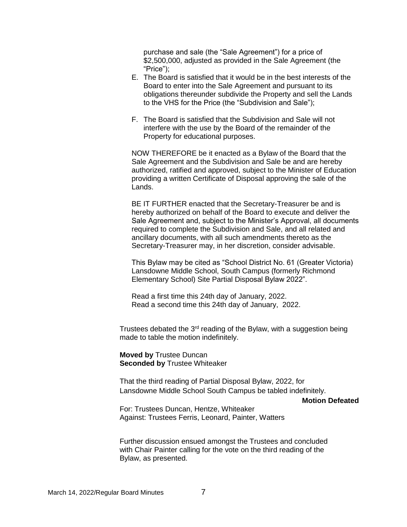purchase and sale (the "Sale Agreement") for a price of \$2,500,000, adjusted as provided in the Sale Agreement (the "Price");

- E. The Board is satisfied that it would be in the best interests of the Board to enter into the Sale Agreement and pursuant to its obligations thereunder subdivide the Property and sell the Lands to the VHS for the Price (the "Subdivision and Sale");
- F. The Board is satisfied that the Subdivision and Sale will not interfere with the use by the Board of the remainder of the Property for educational purposes.

NOW THEREFORE be it enacted as a Bylaw of the Board that the Sale Agreement and the Subdivision and Sale be and are hereby authorized, ratified and approved, subject to the Minister of Education providing a written Certificate of Disposal approving the sale of the Lands.

BE IT FURTHER enacted that the Secretary-Treasurer be and is hereby authorized on behalf of the Board to execute and deliver the Sale Agreement and, subject to the Minister's Approval, all documents required to complete the Subdivision and Sale, and all related and ancillary documents, with all such amendments thereto as the Secretary-Treasurer may, in her discretion, consider advisable.

This Bylaw may be cited as "School District No. 61 (Greater Victoria) Lansdowne Middle School, South Campus (formerly Richmond Elementary School) Site Partial Disposal Bylaw 2022".

Read a first time this 24th day of January, 2022. Read a second time this 24th day of January, 2022.

Trustees debated the  $3<sup>rd</sup>$  reading of the Bylaw, with a suggestion being made to table the motion indefinitely.

**Moved by** Trustee Duncan **Seconded by** Trustee Whiteaker

That the third reading of Partial Disposal Bylaw, 2022, for Lansdowne Middle School South Campus be tabled indefinitely.

**Motion Defeated**

For: Trustees Duncan, Hentze, Whiteaker Against: Trustees Ferris, Leonard, Painter, Watters

Further discussion ensued amongst the Trustees and concluded with Chair Painter calling for the vote on the third reading of the Bylaw, as presented.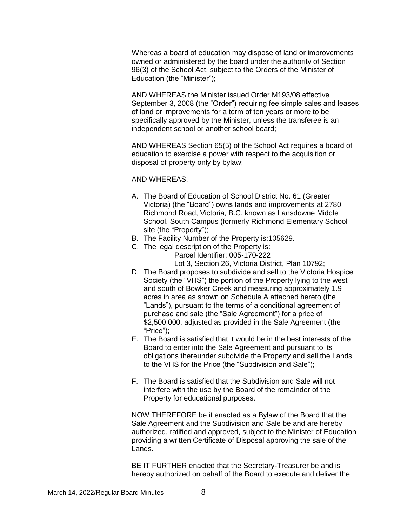Whereas a board of education may dispose of land or improvements owned or administered by the board under the authority of Section 96(3) of the School Act, subject to the Orders of the Minister of Education (the "Minister");

AND WHEREAS the Minister issued Order M193/08 effective September 3, 2008 (the "Order") requiring fee simple sales and leases of land or improvements for a term of ten years or more to be specifically approved by the Minister, unless the transferee is an independent school or another school board;

AND WHEREAS Section 65(5) of the School Act requires a board of education to exercise a power with respect to the acquisition or disposal of property only by bylaw;

AND WHEREAS:

- A. The Board of Education of School District No. 61 (Greater Victoria) (the "Board") owns lands and improvements at 2780 Richmond Road, Victoria, B.C. known as Lansdowne Middle School, South Campus (formerly Richmond Elementary School site (the "Property");
- B. The Facility Number of the Property is:105629.
- C. The legal description of the Property is: Parcel Identifier: 005-170-222 Lot 3, Section 26, Victoria District, Plan 10792;
- D. The Board proposes to subdivide and sell to the Victoria Hospice Society (the "VHS") the portion of the Property lying to the west and south of Bowker Creek and measuring approximately 1.9 acres in area as shown on Schedule A attached hereto (the "Lands"), pursuant to the terms of a conditional agreement of purchase and sale (the "Sale Agreement") for a price of \$2,500,000, adjusted as provided in the Sale Agreement (the "Price");
- E. The Board is satisfied that it would be in the best interests of the Board to enter into the Sale Agreement and pursuant to its obligations thereunder subdivide the Property and sell the Lands to the VHS for the Price (the "Subdivision and Sale");
- F. The Board is satisfied that the Subdivision and Sale will not interfere with the use by the Board of the remainder of the Property for educational purposes.

NOW THEREFORE be it enacted as a Bylaw of the Board that the Sale Agreement and the Subdivision and Sale be and are hereby authorized, ratified and approved, subject to the Minister of Education providing a written Certificate of Disposal approving the sale of the Lands.

BE IT FURTHER enacted that the Secretary-Treasurer be and is hereby authorized on behalf of the Board to execute and deliver the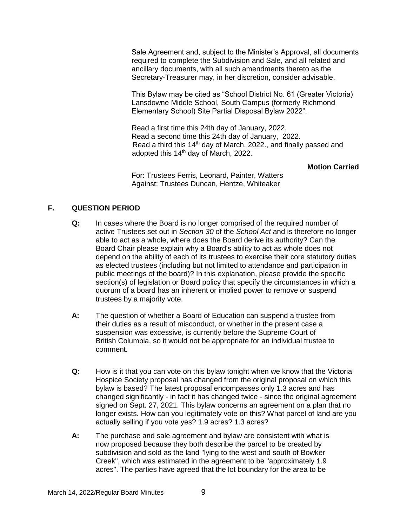Sale Agreement and, subject to the Minister's Approval, all documents required to complete the Subdivision and Sale, and all related and ancillary documents, with all such amendments thereto as the Secretary-Treasurer may, in her discretion, consider advisable.

This Bylaw may be cited as "School District No. 61 (Greater Victoria) Lansdowne Middle School, South Campus (formerly Richmond Elementary School) Site Partial Disposal Bylaw 2022".

Read a first time this 24th day of January, 2022. Read a second time this 24th day of January, 2022. Read a third this 14<sup>th</sup> day of March, 2022., and finally passed and adopted this 14<sup>th</sup> day of March, 2022.

### **Motion Carried**

For: Trustees Ferris, Leonard, Painter, Watters Against: Trustees Duncan, Hentze, Whiteaker

# **F. QUESTION PERIOD**

- **Q:** In cases where the Board is no longer comprised of the required number of active Trustees set out in *Section 30* of the *School Act* and is therefore no longer able to act as a whole, where does the Board derive its authority? Can the Board Chair please explain why a Board's ability to act as whole does not depend on the ability of each of its trustees to exercise their core statutory duties as elected trustees (including but not limited to attendance and participation in public meetings of the board)? In this explanation, please provide the specific section(s) of legislation or Board policy that specify the circumstances in which a quorum of a board has an inherent or implied power to remove or suspend trustees by a majority vote.
- **A:** The question of whether a Board of Education can suspend a trustee from their duties as a result of misconduct, or whether in the present case a suspension was excessive, is currently before the Supreme Court of British Columbia, so it would not be appropriate for an individual trustee to comment.
- **Q:** How is it that you can vote on this bylaw tonight when we know that the Victoria Hospice Society proposal has changed from the original proposal on which this bylaw is based? The latest proposal encompasses only 1.3 acres and has changed significantly - in fact it has changed twice - since the original agreement signed on Sept. 27, 2021. This bylaw concerns an agreement on a plan that no longer exists. How can you legitimately vote on this? What parcel of land are you actually selling if you vote yes? 1.9 acres? 1.3 acres?
- **A:** The purchase and sale agreement and bylaw are consistent with what is now proposed because they both describe the parcel to be created by subdivision and sold as the land "lying to the west and south of Bowker Creek", which was estimated in the agreement to be "approximately 1.9 acres". The parties have agreed that the lot boundary for the area to be